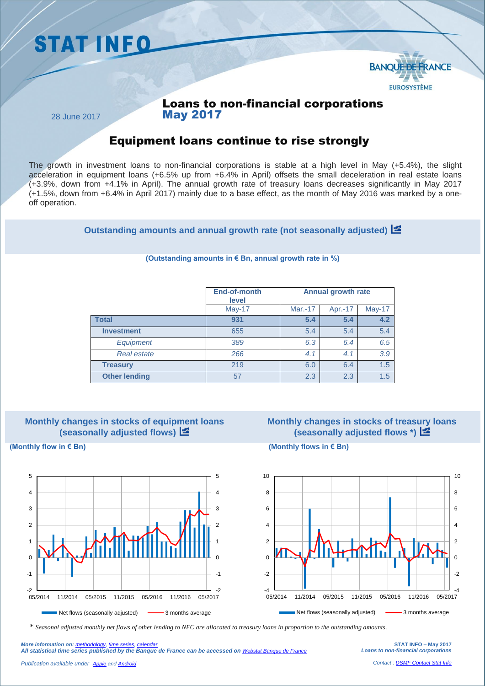



### Loans to non-financial corporations May 2017

28 June 2017

## Equipment loans continue to rise strongly

The growth in investment loans to non-financial corporations is stable at a high level in May (+5.4%), the slight acceleration in equipment loans (+6.5% up from +6.4% in April) offsets the small deceleration in real estate loans (+3.9%, down from +4.1% in April). The annual growth rate of treasury loans decreases significantly in May 2017 (+1.5%, down from +6.4% in April 2017) mainly due to a base effect, as the month of May 2016 was marked by a oneoff operation.

**Outstanding amounts and annual growth rate (not seasonally adjusted)**

|                      | End-of-month<br>level | <b>Annual growth rate</b> |         |               |
|----------------------|-----------------------|---------------------------|---------|---------------|
|                      | May-17                | Mar.-17                   | Apr.-17 | <b>May-17</b> |
| <b>Total</b>         | 931                   | 5.4                       | 5.4     | 4.2           |
| <b>Investment</b>    | 655                   | 5.4                       | 5.4     | 5.4           |
| <b>Equipment</b>     | 389                   | 6.3                       | 6.4     | 6.5           |
| <b>Real estate</b>   | 266                   | 4.1                       | 4.1     | 3.9           |
| <b>Treasury</b>      | 219                   | 6.0                       | 6.4     | 1.5           |
| <b>Other lending</b> | 57                    | 2.3                       | 2.3     | 1.5           |

#### **(Outstanding amounts in € Bn, annual growth rate in %)**



# **Monthly changes in stocks of treasury loans (seasonally adjusted flows \*)**



**(Monthly flow in € Bn) (Monthly flows in € Bn)**



*\* Seasonal adjusted monthly net flows of other lending to NFC are allocated to treasury loans in proportion to the outstanding amounts.*

**STAT INFO – May 2017** *Loans to non-financial corporations*